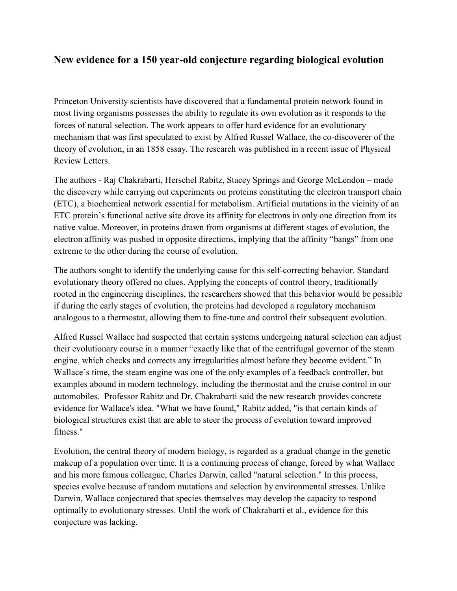## New evidence for a 150 year-old conjecture regarding biological evolution

Princeton University scientists have discovered that a fundamental protein network found in most living organisms possesses the ability to regulate its own evolution as it responds to the forces of natural selection. The work appears to offer hard evidence for an evolutionary mechanism that was first speculated to exist by Alfred Russel Wallace, the co-discoverer of the theory of evolution, in an 1858 essay. The research was published in a recent issue of Physical Review Letters.

The authors - Raj Chakrabarti, Herschel Rabitz, Stacey Springs and George McLendon – made the discovery while carrying out experiments on proteins constituting the electron transport chain (ETC), a biochemical network essential for metabolism. Artificial mutations in the vicinity of an ETC protein's functional active site drove its affinity for electrons in only one direction from its native value. Moreover, in proteins drawn from organisms at different stages of evolution, the electron affinity was pushed in opposite directions, implying that the affinity "bangs" from one extreme to the other during the course of evolution.

The authors sought to identify the underlying cause for this self-correcting behavior. Standard evolutionary theory offered no clues. Applying the concepts of control theory, traditionally rooted in the engineering disciplines, the researchers showed that this behavior would be possible if during the early stages of evolution, the proteins had developed a regulatory mechanism analogous to a thermostat, allowing them to fine-tune and control their subsequent evolution.

Alfred Russel Wallace had suspected that certain systems undergoing natural selection can adjust their evolutionary course in a manner "exactly like that of the centrifugal governor of the steam engine, which checks and corrects any irregularities almost before they become evident." In Wallace's time, the steam engine was one of the only examples of a feedback controller, but examples abound in modern technology, including the thermostat and the cruise control in our automobiles. Professor Rabitz and Dr. Chakrabarti said the new research provides concrete evidence for Wallace's idea. "What we have found," Rabitz added, "is that certain kinds of biological structures exist that are able to steer the process of evolution toward improved fitness."

Evolution, the central theory of modern biology, is regarded as a gradual change in the genetic makeup of a population over time. It is a continuing process of change, forced by what Wallace and his more famous colleague, Charles Darwin, called "natural selection." In this process, species evolve because of random mutations and selection by environmental stresses. Unlike Darwin, Wallace conjectured that species themselves may develop the capacity to respond optimally to evolutionary stresses. Until the work of Chakrabarti et al., evidence for this conjecture was lacking.